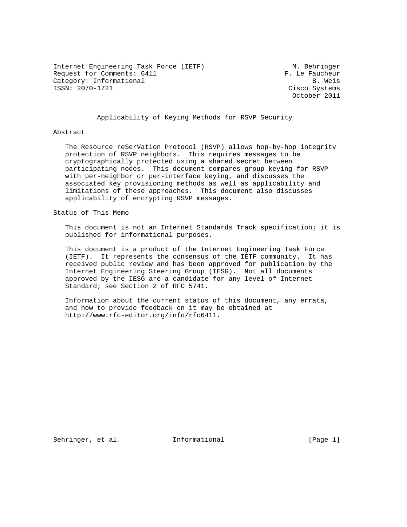Internet Engineering Task Force (IETF) M. Behringer Request for Comments: 6411 F. Le Faucheur Category: Informational B. Weis<br>
ISSN: 2070-1721 Cisco Systems

Cisco Systems October 2011

Applicability of Keying Methods for RSVP Security

#### Abstract

 The Resource reSerVation Protocol (RSVP) allows hop-by-hop integrity protection of RSVP neighbors. This requires messages to be cryptographically protected using a shared secret between participating nodes. This document compares group keying for RSVP with per-neighbor or per-interface keying, and discusses the associated key provisioning methods as well as applicability and limitations of these approaches. This document also discusses applicability of encrypting RSVP messages.

Status of This Memo

 This document is not an Internet Standards Track specification; it is published for informational purposes.

 This document is a product of the Internet Engineering Task Force (IETF). It represents the consensus of the IETF community. It has received public review and has been approved for publication by the Internet Engineering Steering Group (IESG). Not all documents approved by the IESG are a candidate for any level of Internet Standard; see Section 2 of RFC 5741.

 Information about the current status of this document, any errata, and how to provide feedback on it may be obtained at http://www.rfc-editor.org/info/rfc6411.

Behringer, et al. 1nformational 1999 [Page 1]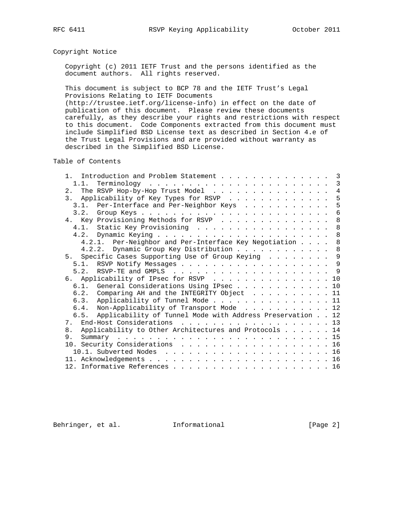## Copyright Notice

 Copyright (c) 2011 IETF Trust and the persons identified as the document authors. All rights reserved.

 This document is subject to BCP 78 and the IETF Trust's Legal Provisions Relating to IETF Documents (http://trustee.ietf.org/license-info) in effect on the date of

 publication of this document. Please review these documents carefully, as they describe your rights and restrictions with respect to this document. Code Components extracted from this document must include Simplified BSD License text as described in Section 4.e of the Trust Legal Provisions and are provided without warranty as described in the Simplified BSD License.

Table of Contents

| Introduction and Problem Statement<br>$1 \quad \Box$           |  | 3              |
|----------------------------------------------------------------|--|----------------|
|                                                                |  |                |
| 2. The RSVP Hop-by-Hop Trust Model                             |  | $\overline{4}$ |
| 3. Applicability of Key Types for RSVP                         |  | 5              |
| 3.1. Per-Interface and Per-Neighbor Keys                       |  | 5              |
|                                                                |  | 6              |
| 4. Key Provisioning Methods for RSVP                           |  | 8              |
| 4.1. Static Key Provisioning                                   |  | 8              |
|                                                                |  | 8              |
| 4.2.1. Per-Neighbor and Per-Interface Key Negotiation 8        |  |                |
| 4.2.2. Dynamic Group Key Distribution 8                        |  |                |
| 5. Specific Cases Supporting Use of Group Keying               |  | 9              |
| 5.1. RSVP Notify Messages 9                                    |  |                |
|                                                                |  |                |
| 6. Applicability of IPsec for RSVP 10                          |  |                |
| 6.1. General Considerations Using IPsec 10                     |  |                |
| 6.2. Comparing AH and the INTEGRITY Object 11                  |  |                |
| 6.3. Applicability of Tunnel Mode 11                           |  |                |
| 6.4. Non-Applicability of Transport Mode 12                    |  |                |
| 6.5. Applicability of Tunnel Mode with Address Preservation 12 |  |                |
| 7. End-Host Considerations 13                                  |  |                |
| 8. Applicability to Other Architectures and Protocols 14       |  |                |
| 9.                                                             |  |                |
|                                                                |  |                |
|                                                                |  |                |
|                                                                |  |                |
|                                                                |  |                |
|                                                                |  |                |

Behringer, et al. Informational [Page 2]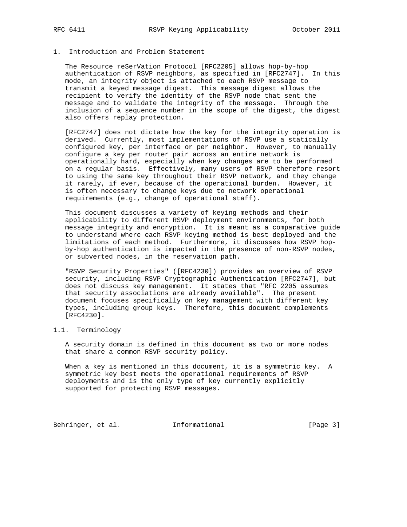## 1. Introduction and Problem Statement

 The Resource reSerVation Protocol [RFC2205] allows hop-by-hop authentication of RSVP neighbors, as specified in [RFC2747]. In this mode, an integrity object is attached to each RSVP message to transmit a keyed message digest. This message digest allows the recipient to verify the identity of the RSVP node that sent the message and to validate the integrity of the message. Through the inclusion of a sequence number in the scope of the digest, the digest also offers replay protection.

 [RFC2747] does not dictate how the key for the integrity operation is derived. Currently, most implementations of RSVP use a statically configured key, per interface or per neighbor. However, to manually configure a key per router pair across an entire network is operationally hard, especially when key changes are to be performed on a regular basis. Effectively, many users of RSVP therefore resort to using the same key throughout their RSVP network, and they change it rarely, if ever, because of the operational burden. However, it is often necessary to change keys due to network operational requirements (e.g., change of operational staff).

 This document discusses a variety of keying methods and their applicability to different RSVP deployment environments, for both message integrity and encryption. It is meant as a comparative guide to understand where each RSVP keying method is best deployed and the limitations of each method. Furthermore, it discusses how RSVP hop by-hop authentication is impacted in the presence of non-RSVP nodes, or subverted nodes, in the reservation path.

 "RSVP Security Properties" ([RFC4230]) provides an overview of RSVP security, including RSVP Cryptographic Authentication [RFC2747], but does not discuss key management. It states that "RFC 2205 assumes that security associations are already available". The present document focuses specifically on key management with different key types, including group keys. Therefore, this document complements [RFC4230].

# 1.1. Terminology

 A security domain is defined in this document as two or more nodes that share a common RSVP security policy.

 When a key is mentioned in this document, it is a symmetric key. A symmetric key best meets the operational requirements of RSVP deployments and is the only type of key currently explicitly supported for protecting RSVP messages.

Behringer, et al. Informational [Page 3]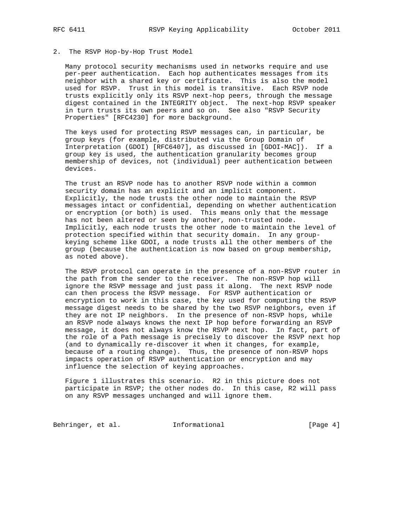# 2. The RSVP Hop-by-Hop Trust Model

 Many protocol security mechanisms used in networks require and use per-peer authentication. Each hop authenticates messages from its neighbor with a shared key or certificate. This is also the model used for RSVP. Trust in this model is transitive. Each RSVP node trusts explicitly only its RSVP next-hop peers, through the message digest contained in the INTEGRITY object. The next-hop RSVP speaker in turn trusts its own peers and so on. See also "RSVP Security Properties" [RFC4230] for more background.

 The keys used for protecting RSVP messages can, in particular, be group keys (for example, distributed via the Group Domain of Interpretation (GDOI) [RFC6407], as discussed in [GDOI-MAC]). If a group key is used, the authentication granularity becomes group membership of devices, not (individual) peer authentication between devices.

 The trust an RSVP node has to another RSVP node within a common security domain has an explicit and an implicit component. Explicitly, the node trusts the other node to maintain the RSVP messages intact or confidential, depending on whether authentication or encryption (or both) is used. This means only that the message has not been altered or seen by another, non-trusted node. Implicitly, each node trusts the other node to maintain the level of protection specified within that security domain. In any group keying scheme like GDOI, a node trusts all the other members of the group (because the authentication is now based on group membership, as noted above).

 The RSVP protocol can operate in the presence of a non-RSVP router in the path from the sender to the receiver. The non-RSVP hop will ignore the RSVP message and just pass it along. The next RSVP node can then process the RSVP message. For RSVP authentication or encryption to work in this case, the key used for computing the RSVP message digest needs to be shared by the two RSVP neighbors, even if they are not IP neighbors. In the presence of non-RSVP hops, while an RSVP node always knows the next IP hop before forwarding an RSVP message, it does not always know the RSVP next hop. In fact, part of the role of a Path message is precisely to discover the RSVP next hop (and to dynamically re-discover it when it changes, for example, because of a routing change). Thus, the presence of non-RSVP hops impacts operation of RSVP authentication or encryption and may influence the selection of keying approaches.

 Figure 1 illustrates this scenario. R2 in this picture does not participate in RSVP; the other nodes do. In this case, R2 will pass on any RSVP messages unchanged and will ignore them.

Behringer, et al. 1nformational 1999 [Page 4]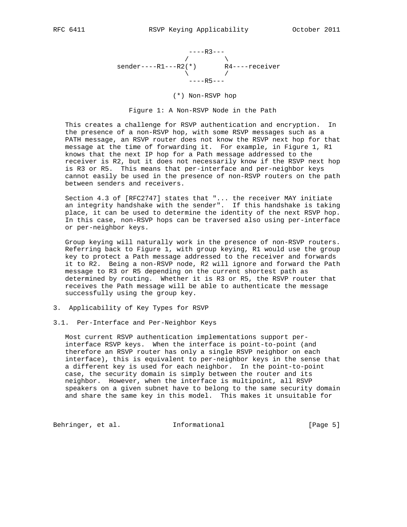

# (\*) Non-RSVP hop

Figure 1: A Non-RSVP Node in the Path

 This creates a challenge for RSVP authentication and encryption. In the presence of a non-RSVP hop, with some RSVP messages such as a PATH message, an RSVP router does not know the RSVP next hop for that message at the time of forwarding it. For example, in Figure 1, R1 knows that the next IP hop for a Path message addressed to the receiver is R2, but it does not necessarily know if the RSVP next hop is R3 or R5. This means that per-interface and per-neighbor keys cannot easily be used in the presence of non-RSVP routers on the path between senders and receivers.

 Section 4.3 of [RFC2747] states that "... the receiver MAY initiate an integrity handshake with the sender". If this handshake is taking place, it can be used to determine the identity of the next RSVP hop. In this case, non-RSVP hops can be traversed also using per-interface or per-neighbor keys.

 Group keying will naturally work in the presence of non-RSVP routers. Referring back to Figure 1, with group keying, R1 would use the group key to protect a Path message addressed to the receiver and forwards it to R2. Being a non-RSVP node, R2 will ignore and forward the Path message to R3 or R5 depending on the current shortest path as determined by routing. Whether it is R3 or R5, the RSVP router that receives the Path message will be able to authenticate the message successfully using the group key.

- 3. Applicability of Key Types for RSVP
- 3.1. Per-Interface and Per-Neighbor Keys

 Most current RSVP authentication implementations support per interface RSVP keys. When the interface is point-to-point (and therefore an RSVP router has only a single RSVP neighbor on each interface), this is equivalent to per-neighbor keys in the sense that a different key is used for each neighbor. In the point-to-point case, the security domain is simply between the router and its neighbor. However, when the interface is multipoint, all RSVP speakers on a given subnet have to belong to the same security domain and share the same key in this model. This makes it unsuitable for

Behringer, et al. 1nformational 1999 [Page 5]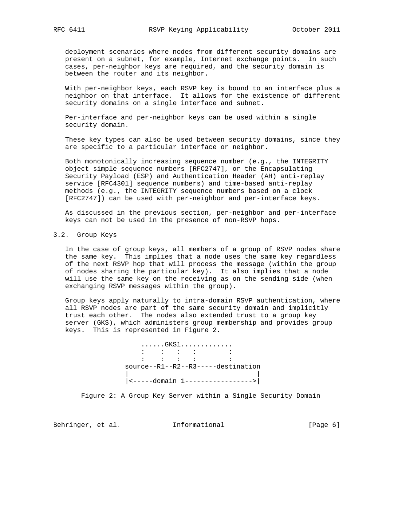deployment scenarios where nodes from different security domains are present on a subnet, for example, Internet exchange points. In such cases, per-neighbor keys are required, and the security domain is between the router and its neighbor.

 With per-neighbor keys, each RSVP key is bound to an interface plus a neighbor on that interface. It allows for the existence of different security domains on a single interface and subnet.

 Per-interface and per-neighbor keys can be used within a single security domain.

 These key types can also be used between security domains, since they are specific to a particular interface or neighbor.

 Both monotonically increasing sequence number (e.g., the INTEGRITY object simple sequence numbers [RFC2747], or the Encapsulating Security Payload (ESP) and Authentication Header (AH) anti-replay service [RFC4301] sequence numbers) and time-based anti-replay methods (e.g., the INTEGRITY sequence numbers based on a clock [RFC2747]) can be used with per-neighbor and per-interface keys.

 As discussed in the previous section, per-neighbor and per-interface keys can not be used in the presence of non-RSVP hops.

## 3.2. Group Keys

 In the case of group keys, all members of a group of RSVP nodes share the same key. This implies that a node uses the same key regardless of the next RSVP hop that will process the message (within the group of nodes sharing the particular key). It also implies that a node will use the same key on the receiving as on the sending side (when exchanging RSVP messages within the group).

 Group keys apply naturally to intra-domain RSVP authentication, where all RSVP nodes are part of the same security domain and implicitly trust each other. The nodes also extended trust to a group key server (GKS), which administers group membership and provides group keys. This is represented in Figure 2.

 ......GKS1.............  $\mathcal{L}^{\mathcal{L}}(\mathcal{L}^{\mathcal{L}}(\mathcal{L}^{\mathcal{L}}(\mathcal{L}^{\mathcal{L}}(\mathcal{L}^{\mathcal{L}}(\mathcal{L}^{\mathcal{L}}(\mathcal{L}^{\mathcal{L}}(\mathcal{L}^{\mathcal{L}}(\mathcal{L}^{\mathcal{L}}(\mathcal{L}^{\mathcal{L}}(\mathcal{L}^{\mathcal{L}}(\mathcal{L}^{\mathcal{L}}(\mathcal{L}^{\mathcal{L}}(\mathcal{L}^{\mathcal{L}}(\mathcal{L}^{\mathcal{L}}(\mathcal{L}^{\mathcal{L}}(\mathcal{L}^{\mathcal{L$  $\mathcal{L}^{\mathcal{L}}(\mathcal{L}^{\mathcal{L}}(\mathcal{L}^{\mathcal{L}}(\mathcal{L}^{\mathcal{L}}(\mathcal{L}^{\mathcal{L}}(\mathcal{L}^{\mathcal{L}}(\mathcal{L}^{\mathcal{L}}(\mathcal{L}^{\mathcal{L}}(\mathcal{L}^{\mathcal{L}}(\mathcal{L}^{\mathcal{L}}(\mathcal{L}^{\mathcal{L}}(\mathcal{L}^{\mathcal{L}}(\mathcal{L}^{\mathcal{L}}(\mathcal{L}^{\mathcal{L}}(\mathcal{L}^{\mathcal{L}}(\mathcal{L}^{\mathcal{L}}(\mathcal{L}^{\mathcal{L$  source--R1--R2--R3-----destination | | |<-----domain 1----------------->|

Figure 2: A Group Key Server within a Single Security Domain

Behringer, et al. Informational [Page 6]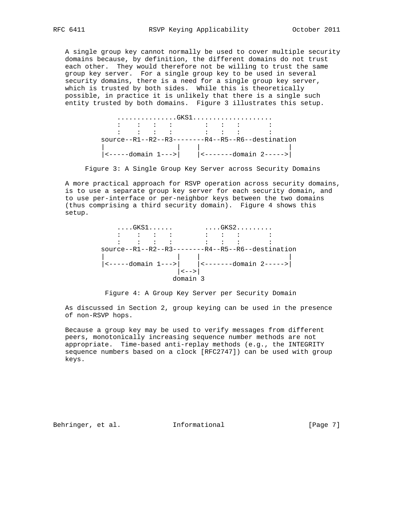A single group key cannot normally be used to cover multiple security domains because, by definition, the different domains do not trust each other. They would therefore not be willing to trust the same group key server. For a single group key to be used in several security domains, there is a need for a single group key server, which is trusted by both sides. While this is theoretically possible, in practice it is unlikely that there is a single such entity trusted by both domains. Figure 3 illustrates this setup.

|  |  | はんしん はんしゅう しゅうしん しゅうしゅう はんしん しゅうしゅ |  |                                                       |  |
|--|--|------------------------------------|--|-------------------------------------------------------|--|
|  |  |                                    |  | しゅうしん こうしゅう こうしゅう こうしゅう こうしゅう こうしゅう こうしゅう こうしょう       |  |
|  |  |                                    |  | $source--R1--R2--R3---R4--R4--R5--R6--destination$    |  |
|  |  |                                    |  | $ $ <-----domain 1---> $ $ <-------domain 2-----> $ $ |  |

Figure 3: A Single Group Key Server across Security Domains

 A more practical approach for RSVP operation across security domains, is to use a separate group key server for each security domain, and to use per-interface or per-neighbor keys between the two domains (thus comprising a third security domain). Figure 4 shows this setup.



Figure 4: A Group Key Server per Security Domain

 As discussed in Section 2, group keying can be used in the presence of non-RSVP hops.

 Because a group key may be used to verify messages from different peers, monotonically increasing sequence number methods are not appropriate. Time-based anti-replay methods (e.g., the INTEGRITY sequence numbers based on a clock [RFC2747]) can be used with group keys.

Behringer, et al. Informational [Page 7]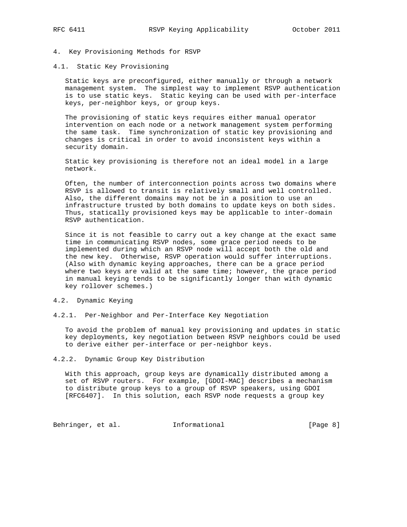- 4. Key Provisioning Methods for RSVP
- 4.1. Static Key Provisioning

 Static keys are preconfigured, either manually or through a network management system. The simplest way to implement RSVP authentication is to use static keys. Static keying can be used with per-interface keys, per-neighbor keys, or group keys.

 The provisioning of static keys requires either manual operator intervention on each node or a network management system performing the same task. Time synchronization of static key provisioning and changes is critical in order to avoid inconsistent keys within a security domain.

 Static key provisioning is therefore not an ideal model in a large network.

 Often, the number of interconnection points across two domains where RSVP is allowed to transit is relatively small and well controlled. Also, the different domains may not be in a position to use an infrastructure trusted by both domains to update keys on both sides. Thus, statically provisioned keys may be applicable to inter-domain RSVP authentication.

 Since it is not feasible to carry out a key change at the exact same time in communicating RSVP nodes, some grace period needs to be implemented during which an RSVP node will accept both the old and the new key. Otherwise, RSVP operation would suffer interruptions. (Also with dynamic keying approaches, there can be a grace period where two keys are valid at the same time; however, the grace period in manual keying tends to be significantly longer than with dynamic key rollover schemes.)

### 4.2. Dynamic Keying

4.2.1. Per-Neighbor and Per-Interface Key Negotiation

 To avoid the problem of manual key provisioning and updates in static key deployments, key negotiation between RSVP neighbors could be used to derive either per-interface or per-neighbor keys.

#### 4.2.2. Dynamic Group Key Distribution

 With this approach, group keys are dynamically distributed among a set of RSVP routers. For example, [GDOI-MAC] describes a mechanism to distribute group keys to a group of RSVP speakers, using GDOI [RFC6407]. In this solution, each RSVP node requests a group key

Behringer, et al. 1nformational 1999 [Page 8]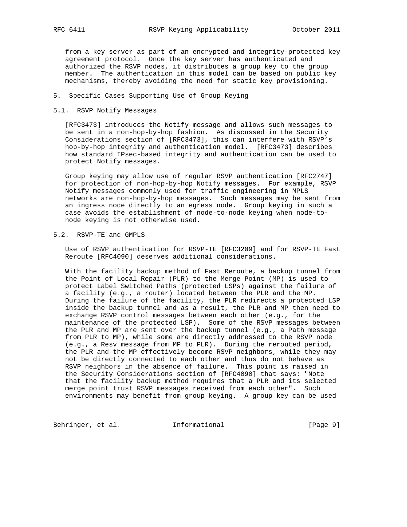from a key server as part of an encrypted and integrity-protected key agreement protocol. Once the key server has authenticated and authorized the RSVP nodes, it distributes a group key to the group member. The authentication in this model can be based on public key mechanisms, thereby avoiding the need for static key provisioning.

### 5. Specific Cases Supporting Use of Group Keying

## 5.1. RSVP Notify Messages

 [RFC3473] introduces the Notify message and allows such messages to be sent in a non-hop-by-hop fashion. As discussed in the Security Considerations section of [RFC3473], this can interfere with RSVP's hop-by-hop integrity and authentication model. [RFC3473] describes how standard IPsec-based integrity and authentication can be used to protect Notify messages.

 Group keying may allow use of regular RSVP authentication [RFC2747] for protection of non-hop-by-hop Notify messages. For example, RSVP Notify messages commonly used for traffic engineering in MPLS networks are non-hop-by-hop messages. Such messages may be sent from an ingress node directly to an egress node. Group keying in such a case avoids the establishment of node-to-node keying when node-to node keying is not otherwise used.

## 5.2. RSVP-TE and GMPLS

 Use of RSVP authentication for RSVP-TE [RFC3209] and for RSVP-TE Fast Reroute [RFC4090] deserves additional considerations.

 With the facility backup method of Fast Reroute, a backup tunnel from the Point of Local Repair (PLR) to the Merge Point (MP) is used to protect Label Switched Paths (protected LSPs) against the failure of a facility (e.g., a router) located between the PLR and the MP. During the failure of the facility, the PLR redirects a protected LSP inside the backup tunnel and as a result, the PLR and MP then need to exchange RSVP control messages between each other (e.g., for the maintenance of the protected LSP). Some of the RSVP messages between the PLR and MP are sent over the backup tunnel (e.g., a Path message from PLR to MP), while some are directly addressed to the RSVP node (e.g., a Resv message from MP to PLR). During the rerouted period, the PLR and the MP effectively become RSVP neighbors, while they may not be directly connected to each other and thus do not behave as RSVP neighbors in the absence of failure. This point is raised in the Security Considerations section of [RFC4090] that says: "Note that the facility backup method requires that a PLR and its selected merge point trust RSVP messages received from each other". Such environments may benefit from group keying. A group key can be used

Behringer, et al. 1nformational 1999 [Page 9]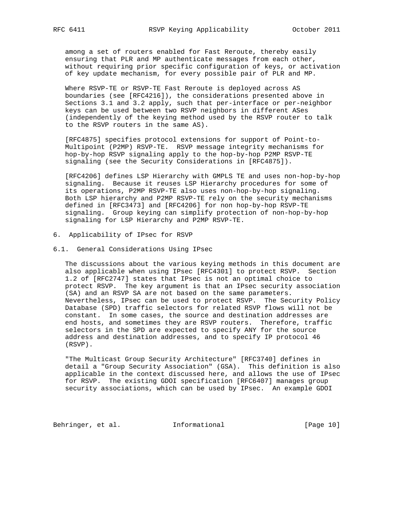among a set of routers enabled for Fast Reroute, thereby easily ensuring that PLR and MP authenticate messages from each other, without requiring prior specific configuration of keys, or activation of key update mechanism, for every possible pair of PLR and MP.

 Where RSVP-TE or RSVP-TE Fast Reroute is deployed across AS boundaries (see [RFC4216]), the considerations presented above in Sections 3.1 and 3.2 apply, such that per-interface or per-neighbor keys can be used between two RSVP neighbors in different ASes (independently of the keying method used by the RSVP router to talk to the RSVP routers in the same AS).

 [RFC4875] specifies protocol extensions for support of Point-to- Multipoint (P2MP) RSVP-TE. RSVP message integrity mechanisms for hop-by-hop RSVP signaling apply to the hop-by-hop P2MP RSVP-TE signaling (see the Security Considerations in [RFC4875]).

 [RFC4206] defines LSP Hierarchy with GMPLS TE and uses non-hop-by-hop signaling. Because it reuses LSP Hierarchy procedures for some of its operations, P2MP RSVP-TE also uses non-hop-by-hop signaling. Both LSP hierarchy and P2MP RSVP-TE rely on the security mechanisms defined in [RFC3473] and [RFC4206] for non hop-by-hop RSVP-TE signaling. Group keying can simplify protection of non-hop-by-hop signaling for LSP Hierarchy and P2MP RSVP-TE.

- 6. Applicability of IPsec for RSVP
- 6.1. General Considerations Using IPsec

 The discussions about the various keying methods in this document are also applicable when using IPsec [RFC4301] to protect RSVP. Section 1.2 of [RFC2747] states that IPsec is not an optimal choice to protect RSVP. The key argument is that an IPsec security association (SA) and an RSVP SA are not based on the same parameters. Nevertheless, IPsec can be used to protect RSVP. The Security Policy Database (SPD) traffic selectors for related RSVP flows will not be constant. In some cases, the source and destination addresses are end hosts, and sometimes they are RSVP routers. Therefore, traffic selectors in the SPD are expected to specify ANY for the source address and destination addresses, and to specify IP protocol 46 (RSVP).

 "The Multicast Group Security Architecture" [RFC3740] defines in detail a "Group Security Association" (GSA). This definition is also applicable in the context discussed here, and allows the use of IPsec for RSVP. The existing GDOI specification [RFC6407] manages group security associations, which can be used by IPsec. An example GDOI

Behringer, et al. 1nformational [Page 10]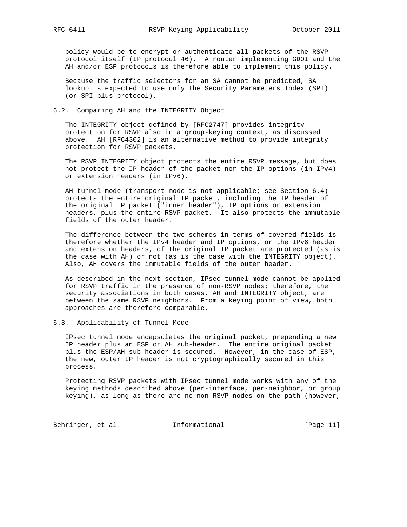policy would be to encrypt or authenticate all packets of the RSVP protocol itself (IP protocol 46). A router implementing GDOI and the AH and/or ESP protocols is therefore able to implement this policy.

 Because the traffic selectors for an SA cannot be predicted, SA lookup is expected to use only the Security Parameters Index (SPI) (or SPI plus protocol).

#### 6.2. Comparing AH and the INTEGRITY Object

 The INTEGRITY object defined by [RFC2747] provides integrity protection for RSVP also in a group-keying context, as discussed above. AH [RFC4302] is an alternative method to provide integrity protection for RSVP packets.

 The RSVP INTEGRITY object protects the entire RSVP message, but does not protect the IP header of the packet nor the IP options (in IPv4) or extension headers (in IPv6).

 AH tunnel mode (transport mode is not applicable; see Section 6.4) protects the entire original IP packet, including the IP header of the original IP packet ("inner header"), IP options or extension headers, plus the entire RSVP packet. It also protects the immutable fields of the outer header.

 The difference between the two schemes in terms of covered fields is therefore whether the IPv4 header and IP options, or the IPv6 header and extension headers, of the original IP packet are protected (as is the case with AH) or not (as is the case with the INTEGRITY object). Also, AH covers the immutable fields of the outer header.

 As described in the next section, IPsec tunnel mode cannot be applied for RSVP traffic in the presence of non-RSVP nodes; therefore, the security associations in both cases, AH and INTEGRITY object, are between the same RSVP neighbors. From a keying point of view, both approaches are therefore comparable.

#### 6.3. Applicability of Tunnel Mode

 IPsec tunnel mode encapsulates the original packet, prepending a new IP header plus an ESP or AH sub-header. The entire original packet plus the ESP/AH sub-header is secured. However, in the case of ESP, the new, outer IP header is not cryptographically secured in this process.

 Protecting RSVP packets with IPsec tunnel mode works with any of the keying methods described above (per-interface, per-neighbor, or group keying), as long as there are no non-RSVP nodes on the path (however,

Behringer, et al. 1nformational [Page 11]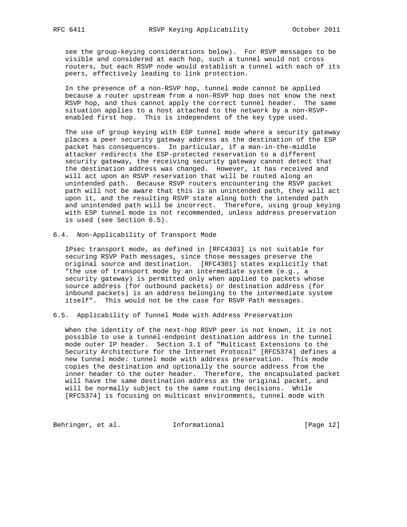see the group-keying considerations below). For RSVP messages to be visible and considered at each hop, such a tunnel would not cross routers, but each RSVP node would establish a tunnel with each of its peers, effectively leading to link protection.

 In the presence of a non-RSVP hop, tunnel mode cannot be applied because a router upstream from a non-RSVP hop does not know the next RSVP hop, and thus cannot apply the correct tunnel header. The same situation applies to a host attached to the network by a non-RSVP enabled first hop. This is independent of the key type used.

 The use of group keying with ESP tunnel mode where a security gateway places a peer security gateway address as the destination of the ESP packet has consequences. In particular, if a man-in-the-middle attacker redirects the ESP-protected reservation to a different security gateway, the receiving security gateway cannot detect that the destination address was changed. However, it has received and will act upon an RSVP reservation that will be routed along an unintended path. Because RSVP routers encountering the RSVP packet path will not be aware that this is an unintended path, they will act upon it, and the resulting RSVP state along both the intended path and unintended path will be incorrect. Therefore, using group keying with ESP tunnel mode is not recommended, unless address preservation is used (see Section 6.5).

6.4. Non-Applicability of Transport Mode

 IPsec transport mode, as defined in [RFC4303] is not suitable for securing RSVP Path messages, since those messages preserve the original source and destination. [RFC4301] states explicitly that "the use of transport mode by an intermediate system (e.g., a security gateway) is permitted only when applied to packets whose source address (for outbound packets) or destination address (for inbound packets) is an address belonging to the intermediate system itself". This would not be the case for RSVP Path messages.

# 6.5. Applicability of Tunnel Mode with Address Preservation

 When the identity of the next-hop RSVP peer is not known, it is not possible to use a tunnel-endpoint destination address in the tunnel mode outer IP header. Section 3.1 of "Multicast Extensions to the Security Architecture for the Internet Protocol" [RFC5374] defines a new tunnel mode: tunnel mode with address preservation. This mode copies the destination and optionally the source address from the inner header to the outer header. Therefore, the encapsulated packet will have the same destination address as the original packet, and will be normally subject to the same routing decisions. While [RFC5374] is focusing on multicast environments, tunnel mode with

Behringer, et al. 1nformational [Page 12]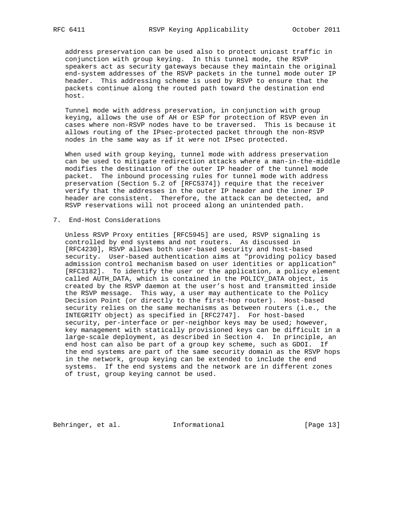address preservation can be used also to protect unicast traffic in conjunction with group keying. In this tunnel mode, the RSVP speakers act as security gateways because they maintain the original end-system addresses of the RSVP packets in the tunnel mode outer IP header. This addressing scheme is used by RSVP to ensure that the packets continue along the routed path toward the destination end host.

 Tunnel mode with address preservation, in conjunction with group keying, allows the use of AH or ESP for protection of RSVP even in cases where non-RSVP nodes have to be traversed. This is because it allows routing of the IPsec-protected packet through the non-RSVP nodes in the same way as if it were not IPsec protected.

 When used with group keying, tunnel mode with address preservation can be used to mitigate redirection attacks where a man-in-the-middle modifies the destination of the outer IP header of the tunnel mode packet. The inbound processing rules for tunnel mode with address preservation (Section 5.2 of [RFC5374]) require that the receiver verify that the addresses in the outer IP header and the inner IP header are consistent. Therefore, the attack can be detected, and RSVP reservations will not proceed along an unintended path.

7. End-Host Considerations

 Unless RSVP Proxy entities [RFC5945] are used, RSVP signaling is controlled by end systems and not routers. As discussed in [RFC4230], RSVP allows both user-based security and host-based security. User-based authentication aims at "providing policy based admission control mechanism based on user identities or application" [RFC3182]. To identify the user or the application, a policy element called AUTH\_DATA, which is contained in the POLICY\_DATA object, is created by the RSVP daemon at the user's host and transmitted inside the RSVP message. This way, a user may authenticate to the Policy Decision Point (or directly to the first-hop router). Host-based security relies on the same mechanisms as between routers (i.e., the INTEGRITY object) as specified in [RFC2747]. For host-based security, per-interface or per-neighbor keys may be used; however, key management with statically provisioned keys can be difficult in a large-scale deployment, as described in Section 4. In principle, an end host can also be part of a group key scheme, such as GDOI. If the end systems are part of the same security domain as the RSVP hops in the network, group keying can be extended to include the end systems. If the end systems and the network are in different zones of trust, group keying cannot be used.

Behringer, et al. 1nformational [Page 13]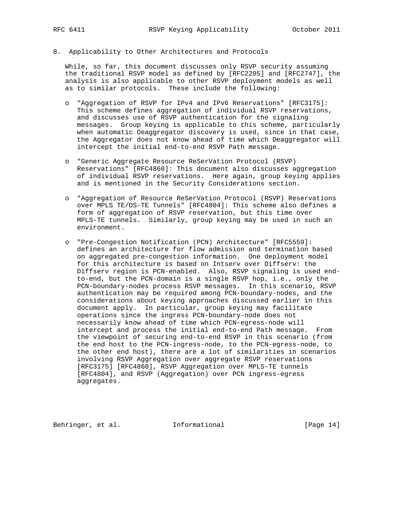8. Applicability to Other Architectures and Protocols

 While, so far, this document discusses only RSVP security assuming the traditional RSVP model as defined by [RFC2205] and [RFC2747], the analysis is also applicable to other RSVP deployment models as well as to similar protocols. These include the following:

- o "Aggregation of RSVP for IPv4 and IPv6 Reservations" [RFC3175]: This scheme defines aggregation of individual RSVP reservations, and discusses use of RSVP authentication for the signaling messages. Group keying is applicable to this scheme, particularly when automatic Deaggregator discovery is used, since in that case, the Aggregator does not know ahead of time which Deaggregator will intercept the initial end-to-end RSVP Path message.
- o "Generic Aggregate Resource ReSerVation Protocol (RSVP) Reservations" [RFC4860]: This document also discusses aggregation of individual RSVP reservations. Here again, group keying applies and is mentioned in the Security Considerations section.
- o "Aggregation of Resource ReSerVation Protocol (RSVP) Reservations over MPLS TE/DS-TE Tunnels" [RFC4804]: This scheme also defines a form of aggregation of RSVP reservation, but this time over MPLS-TE tunnels. Similarly, group keying may be used in such an environment.
- o "Pre-Congestion Notification (PCN) Architecture" [RFC5559]: defines an architecture for flow admission and termination based on aggregated pre-congestion information. One deployment model for this architecture is based on Intserv over Diffserv: the Diffserv region is PCN-enabled. Also, RSVP signaling is used end to-end, but the PCN-domain is a single RSVP hop, i.e., only the PCN-boundary-nodes process RSVP messages. In this scenario, RSVP authentication may be required among PCN-boundary-nodes, and the considerations about keying approaches discussed earlier in this document apply. In particular, group keying may facilitate operations since the ingress PCN-boundary-node does not necessarily know ahead of time which PCN-egress-node will intercept and process the initial end-to-end Path message. From the viewpoint of securing end-to-end RSVP in this scenario (from the end host to the PCN-ingress-node, to the PCN-egress-node, to the other end host), there are a lot of similarities in scenarios involving RSVP Aggregation over aggregate RSVP reservations [RFC3175] [RFC4860], RSVP Aggregation over MPLS-TE tunnels [RFC4804], and RSVP (Aggregation) over PCN ingress-egress aggregates.

Behringer, et al. 1nformational [Page 14]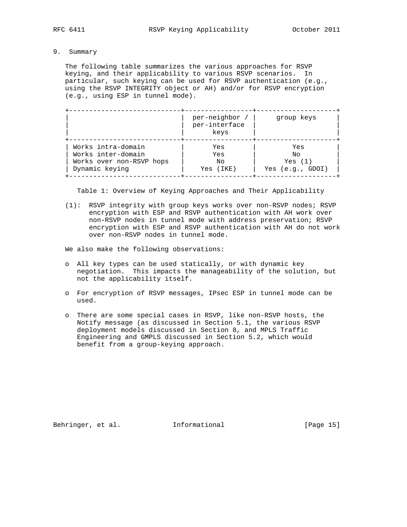9. Summary

 The following table summarizes the various approaches for RSVP keying, and their applicability to various RSVP scenarios. In particular, such keying can be used for RSVP authentication (e.g., using the RSVP INTEGRITY object or AH) and/or for RSVP encryption (e.g., using ESP in tunnel mode).

|                          | per-neighbor /<br>per-interface<br>keys | group keys         |
|--------------------------|-----------------------------------------|--------------------|
| Works intra-domain       | Yes                                     | Yes                |
| Works inter-domain       | Yes                                     | Nο                 |
| Works over non-RSVP hops | No                                      | Yes $(1)$          |
| Dynamic keying           | Yes (IKE)                               | Yes $(e.q., GDOI)$ |

Table 1: Overview of Keying Approaches and Their Applicability

 (1): RSVP integrity with group keys works over non-RSVP nodes; RSVP encryption with ESP and RSVP authentication with AH work over non-RSVP nodes in tunnel mode with address preservation; RSVP encryption with ESP and RSVP authentication with AH do not work over non-RSVP nodes in tunnel mode.

We also make the following observations:

- o All key types can be used statically, or with dynamic key negotiation. This impacts the manageability of the solution, but not the applicability itself.
- o For encryption of RSVP messages, IPsec ESP in tunnel mode can be used.
- o There are some special cases in RSVP, like non-RSVP hosts, the Notify message (as discussed in Section 5.1, the various RSVP deployment models discussed in Section 8, and MPLS Traffic Engineering and GMPLS discussed in Section 5.2, which would benefit from a group-keying approach.

Behringer, et al. 1nformational [Page 15]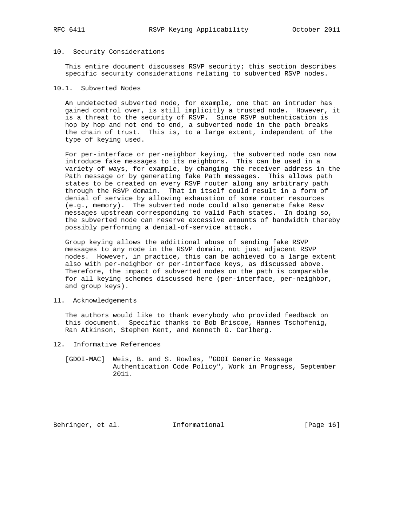#### 10. Security Considerations

 This entire document discusses RSVP security; this section describes specific security considerations relating to subverted RSVP nodes.

#### 10.1. Subverted Nodes

 An undetected subverted node, for example, one that an intruder has gained control over, is still implicitly a trusted node. However, it is a threat to the security of RSVP. Since RSVP authentication is hop by hop and not end to end, a subverted node in the path breaks the chain of trust. This is, to a large extent, independent of the type of keying used.

 For per-interface or per-neighbor keying, the subverted node can now introduce fake messages to its neighbors. This can be used in a variety of ways, for example, by changing the receiver address in the Path message or by generating fake Path messages. This allows path states to be created on every RSVP router along any arbitrary path through the RSVP domain. That in itself could result in a form of denial of service by allowing exhaustion of some router resources (e.g., memory). The subverted node could also generate fake Resv messages upstream corresponding to valid Path states. In doing so, the subverted node can reserve excessive amounts of bandwidth thereby possibly performing a denial-of-service attack.

 Group keying allows the additional abuse of sending fake RSVP messages to any node in the RSVP domain, not just adjacent RSVP nodes. However, in practice, this can be achieved to a large extent also with per-neighbor or per-interface keys, as discussed above. Therefore, the impact of subverted nodes on the path is comparable for all keying schemes discussed here (per-interface, per-neighbor, and group keys).

### 11. Acknowledgements

 The authors would like to thank everybody who provided feedback on this document. Specific thanks to Bob Briscoe, Hannes Tschofenig, Ran Atkinson, Stephen Kent, and Kenneth G. Carlberg.

- 12. Informative References
	- [GDOI-MAC] Weis, B. and S. Rowles, "GDOI Generic Message Authentication Code Policy", Work in Progress, September 2011.

Behringer, et al. Informational [Page 16]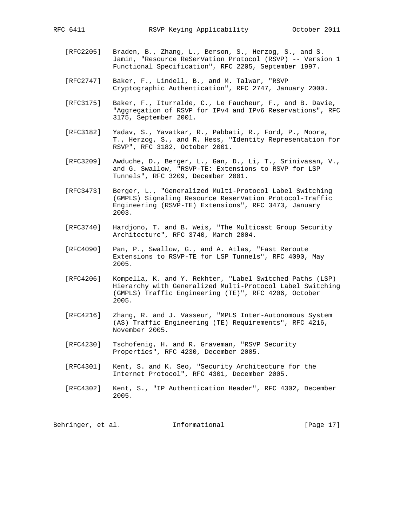- [RFC2205] Braden, B., Zhang, L., Berson, S., Herzog, S., and S. Jamin, "Resource ReSerVation Protocol (RSVP) -- Version 1 Functional Specification", RFC 2205, September 1997.
- [RFC2747] Baker, F., Lindell, B., and M. Talwar, "RSVP Cryptographic Authentication", RFC 2747, January 2000.
- [RFC3175] Baker, F., Iturralde, C., Le Faucheur, F., and B. Davie, "Aggregation of RSVP for IPv4 and IPv6 Reservations", RFC 3175, September 2001.
- [RFC3182] Yadav, S., Yavatkar, R., Pabbati, R., Ford, P., Moore, T., Herzog, S., and R. Hess, "Identity Representation for RSVP", RFC 3182, October 2001.
- [RFC3209] Awduche, D., Berger, L., Gan, D., Li, T., Srinivasan, V., and G. Swallow, "RSVP-TE: Extensions to RSVP for LSP Tunnels", RFC 3209, December 2001.
- [RFC3473] Berger, L., "Generalized Multi-Protocol Label Switching (GMPLS) Signaling Resource ReserVation Protocol-Traffic Engineering (RSVP-TE) Extensions", RFC 3473, January 2003.
- [RFC3740] Hardjono, T. and B. Weis, "The Multicast Group Security Architecture", RFC 3740, March 2004.
- [RFC4090] Pan, P., Swallow, G., and A. Atlas, "Fast Reroute Extensions to RSVP-TE for LSP Tunnels", RFC 4090, May 2005.
- [RFC4206] Kompella, K. and Y. Rekhter, "Label Switched Paths (LSP) Hierarchy with Generalized Multi-Protocol Label Switching (GMPLS) Traffic Engineering (TE)", RFC 4206, October 2005.
- [RFC4216] Zhang, R. and J. Vasseur, "MPLS Inter-Autonomous System (AS) Traffic Engineering (TE) Requirements", RFC 4216, November 2005.
- [RFC4230] Tschofenig, H. and R. Graveman, "RSVP Security Properties", RFC 4230, December 2005.
- [RFC4301] Kent, S. and K. Seo, "Security Architecture for the Internet Protocol", RFC 4301, December 2005.
- [RFC4302] Kent, S., "IP Authentication Header", RFC 4302, December 2005.

Behringer, et al. Informational [Page 17]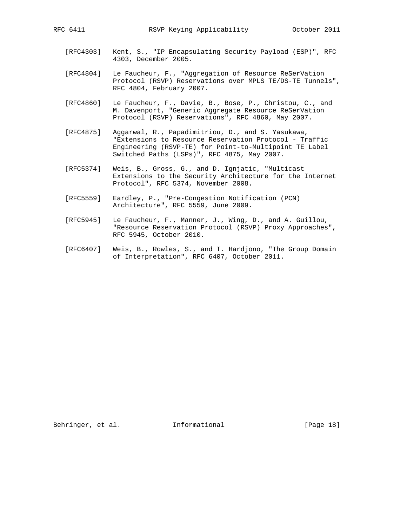- [RFC4303] Kent, S., "IP Encapsulating Security Payload (ESP)", RFC 4303, December 2005.
- [RFC4804] Le Faucheur, F., "Aggregation of Resource ReSerVation Protocol (RSVP) Reservations over MPLS TE/DS-TE Tunnels", RFC 4804, February 2007.
- [RFC4860] Le Faucheur, F., Davie, B., Bose, P., Christou, C., and M. Davenport, "Generic Aggregate Resource ReSerVation Protocol (RSVP) Reservations", RFC 4860, May 2007.
- [RFC4875] Aggarwal, R., Papadimitriou, D., and S. Yasukawa, "Extensions to Resource Reservation Protocol - Traffic Engineering (RSVP-TE) for Point-to-Multipoint TE Label Switched Paths (LSPs)", RFC 4875, May 2007.
- [RFC5374] Weis, B., Gross, G., and D. Ignjatic, "Multicast Extensions to the Security Architecture for the Internet Protocol", RFC 5374, November 2008.
- [RFC5559] Eardley, P., "Pre-Congestion Notification (PCN) Architecture", RFC 5559, June 2009.
- [RFC5945] Le Faucheur, F., Manner, J., Wing, D., and A. Guillou, "Resource Reservation Protocol (RSVP) Proxy Approaches", RFC 5945, October 2010.
- [RFC6407] Weis, B., Rowles, S., and T. Hardjono, "The Group Domain of Interpretation", RFC 6407, October 2011.

Behringer, et al. 1nformational [Page 18]